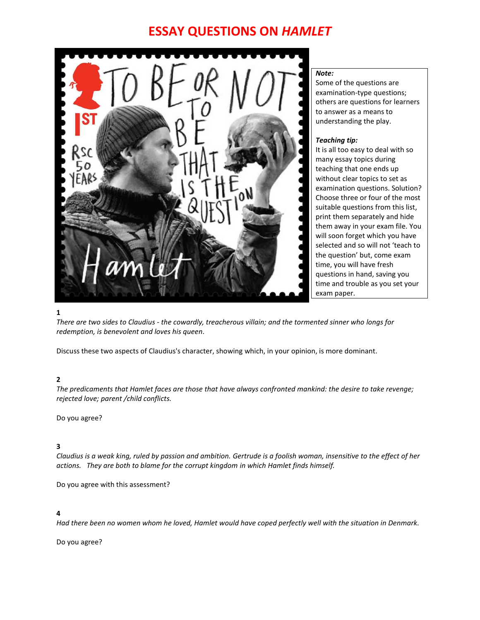# **ESSAY QUESTIONS ON** *HAMLET*



#### *Note:*

Some of the questions are examination-type questions; others are questions for learners to answer as a means to understanding the play.

#### *Teaching tip:*

It is all too easy to deal with so many essay topics during teaching that one ends up without clear topics to set as examination questions. Solution? Choose three or four of the most suitable questions from this list, print them separately and hide them away in your exam file. You will soon forget which you have selected and so will not 'teach to the question' but, come exam time, you will have fresh questions in hand, saving you time and trouble as you set your exam paper.

#### **1**

*There are two sides to Claudius - the cowardly, treacherous villain; and the tormented sinner who longs for redemption, is benevolent and loves his queen.*

Discuss these two aspects of Claudius's character, showing which, in your opinion, is more dominant.

## **2**

*The predicaments that Hamlet faces are those that have always confronted mankind: the desire to take revenge; rejected love; parent /child conflicts.*

Do you agree?

## **3**

*Claudius is a weak king, ruled by passion and ambition. Gertrude is a foolish woman, insensitive to the effect of her actions. They are both to blame for the corrupt kingdom in which Hamlet finds himself.*

Do you agree with this assessment?

## **4**

*Had there been no women whom he loved, Hamlet would have coped perfectly well with the situation in Denmark.*

Do you agree?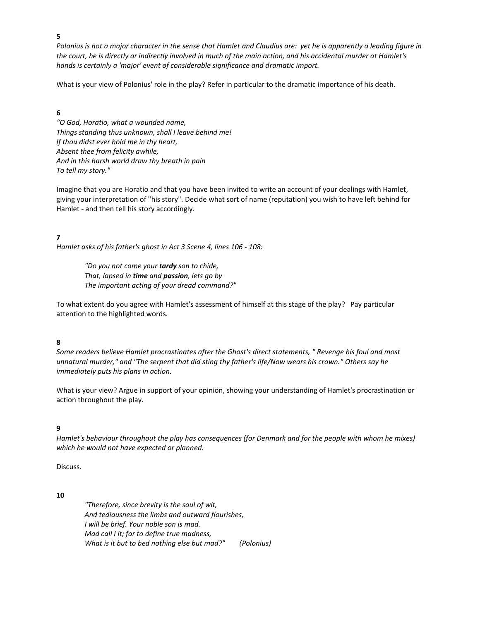**5**

*Polonius is not a major character in the sense that Hamlet and Claudius are: yet he is apparently a leading figure in the court, he is directly or indirectly involved in much of the main action, and his accidental murder at Hamlet's hands is certainly a 'major' event of considerable significance and dramatic import.*

What is your view of Polonius' role in the play? Refer in particular to the dramatic importance of his death.

## **6**

*"O God, Horatio, what a wounded name, Things standing thus unknown, shall I leave behind me! If thou didst ever hold me in thy heart, Absent thee from felicity awhile, And in this harsh world draw thy breath in pain To tell my story."*

Imagine that you are Horatio and that you have been invited to write an account of your dealings with Hamlet, giving your interpretation of "his story". Decide what sort of name (reputation) you wish to have left behind for Hamlet - and then tell his story accordingly.

**7**

*Hamlet asks of his father's ghost in Act 3 Scene 4, lines 106 - 108:*

*"Do you not come your tardy son to chide, That, lapsed in time and passion, lets go by The important acting of your dread command?"*

To what extent do you agree with Hamlet's assessment of himself at this stage of the play? Pay particular attention to the highlighted words.

## **8**

*Some readers believe Hamlet procrastinates after the Ghost's direct statements, " Revenge his foul and most unnatural murder," and "The serpent that did sting thy father's life/Now wears his crown." Others say he immediately puts his plans in action.* 

What is your view? Argue in support of your opinion, showing your understanding of Hamlet's procrastination or action throughout the play.

#### **9**

*Hamlet's behaviour throughout the play has consequences (for Denmark and for the people with whom he mixes) which he would not have expected or planned.*

Discuss.

**10**

*"Therefore, since brevity is the soul of wit, And tediousness the limbs and outward flourishes, I will be brief. Your noble son is mad. Mad call I it; for to define true madness, What is it but to bed nothing else but mad?" (Polonius)*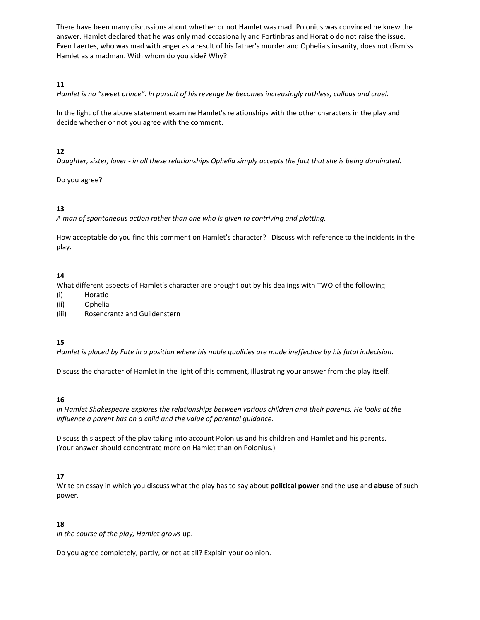There have been many discussions about whether or not Hamlet was mad. Polonius was convinced he knew the answer. Hamlet declared that he was only mad occasionally and Fortinbras and Horatio do not raise the issue. Even Laertes, who was mad with anger as a result of his father's murder and Ophelia's insanity, does not dismiss Hamlet as a madman. With whom do you side? Why?

## **11**

*Hamlet is no "sweet prince". In pursuit of his revenge he becomes increasingly ruthless, callous and cruel.*

In the light of the above statement examine Hamlet's relationships with the other characters in the play and decide whether or not you agree with the comment.

## **12**

*Daughter, sister, lover - in all these relationships Ophelia simply accepts the fact that she is being dominated.*

Do you agree?

# **13**

*A man of spontaneous action rather than one who is given to contriving and plotting.*

How acceptable do you find this comment on Hamlet's character? Discuss with reference to the incidents in the play.

## **14**

What different aspects of Hamlet's character are brought out by his dealings with TWO of the following:

- (i) Horatio
- (ii) Ophelia
- (iii) Rosencrantz and Guildenstern

# **15**

*Hamlet is placed by Fate in a position where his noble qualities are made ineffective by his fatal indecision.*

Discuss the character of Hamlet in the light of this comment, illustrating your answer from the play itself.

## **16**

*In Hamlet Shakespeare explores the relationships between various children and their parents. He looks at the influence a parent has on a child and the value of parental guidance.*

Discuss this aspect of the play taking into account Polonius and his children and Hamlet and his parents. (Your answer should concentrate more on Hamlet than on Polonius.)

## **17**

Write an essay in which you discuss what the play has to say about **political power** and the **use** and **abuse** of such power.

## **18**

*In the course of the play, Hamlet grows* up.

Do you agree completely, partly, or not at all? Explain your opinion.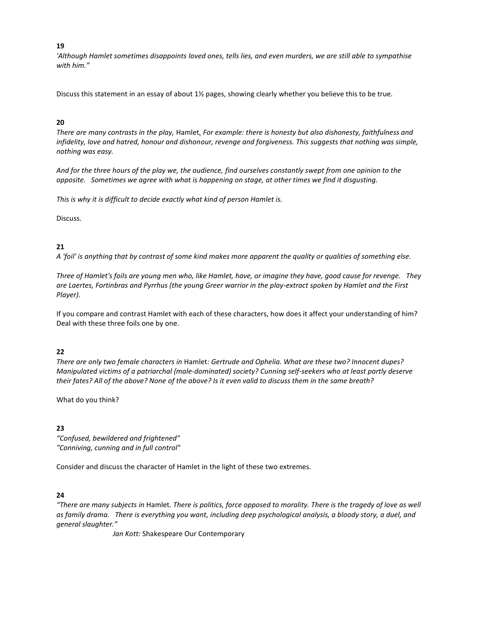## **19**

*'Although Hamlet sometimes disappoints loved ones, tells lies, and even murders, we are still able to sympathise with him."*

Discuss this statement in an essay of about 1½ pages, showing clearly whether you believe this to be true.

## **20**

*There are many contrasts in the play,* Hamlet*. For example: there is honesty but also dishonesty, faithfulness and infidelity, love and hatred, honour and dishonour, revenge and forgiveness. This suggests that nothing was simple, nothing was easy.*

*And for the three hours of the play we, the audience, find ourselves constantly swept from one opinion to the opposite. Sometimes we agree with what is happening on stage, at other times we find it disgusting.*

*This is why it is difficult to decide exactly what kind of person Hamlet is.*

Discuss.

# **21**

*A 'foil' is anything that by contrast of some kind makes more apparent the quality or qualities of something else.*

*Three of Hamlet's foils are young men who, like Hamlet, have, or imagine they have, good cause for revenge. They are Laertes, Fortinbras and Pyrrhus (the young Greer warrior in the play-extract spoken by Hamlet and the First Player).*

If you compare and contrast Hamlet with each of these characters, how does it affect your understanding of him? Deal with these three foils one by one.

# **22**

*There are only two female characters in* Hamlet*: Gertrude and Ophelia. What are these two? Innocent dupes? Manipulated victims of a patriarchal (male-dominated) society? Cunning self-seekers who at least partly deserve their fates? All of the above? None of the above? Is it even valid to discuss them in the same breath?*

What do you think?

# **23**

*"Confused, bewildered and frightened" "Conniving, cunning and in full control"*

Consider and discuss the character of Hamlet in the light of these two extremes.

# **24**

*"There are many subjects in* Hamlet*. There is politics, force opposed to morality. There is the tragedy of love as well as family drama. There is everything you want, including deep psychological analysis, a bloody story, a duel, and general slaughter."* 

*Jan Kott:* Shakespeare Our Contemporary